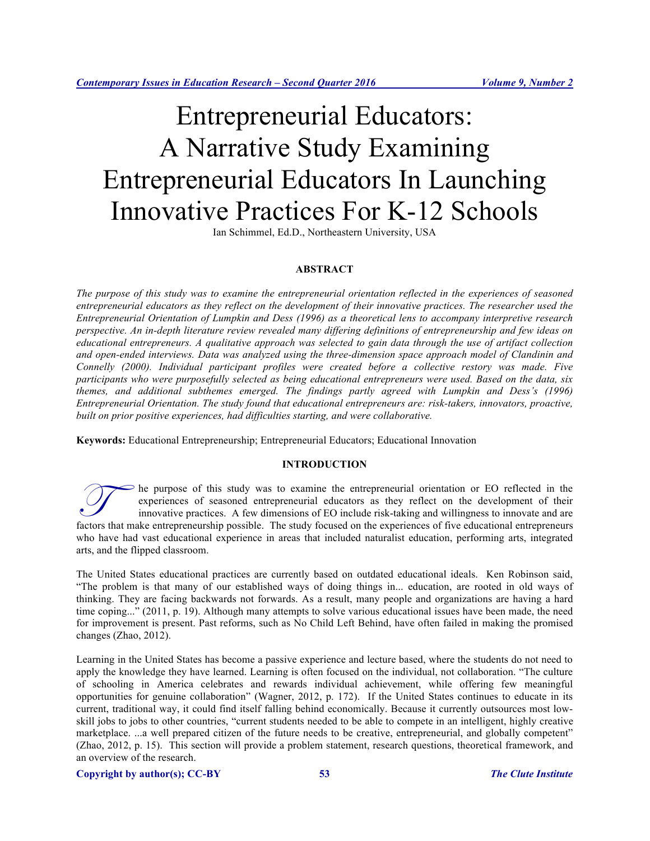# Entrepreneurial Educators: A Narrative Study Examining Entrepreneurial Educators In Launching Innovative Practices For K-12 Schools

Ian Schimmel, Ed.D., Northeastern University, USA

# **ABSTRACT**

*The purpose of this study was to examine the entrepreneurial orientation reflected in the experiences of seasoned entrepreneurial educators as they reflect on the development of their innovative practices. The researcher used the Entrepreneurial Orientation of Lumpkin and Dess (1996) as a theoretical lens to accompany interpretive research perspective. An in-depth literature review revealed many differing definitions of entrepreneurship and few ideas on educational entrepreneurs. A qualitative approach was selected to gain data through the use of artifact collection and open-ended interviews. Data was analyzed using the three-dimension space approach model of Clandinin and Connelly (2000). Individual participant profiles were created before a collective restory was made. Five participants who were purposefully selected as being educational entrepreneurs were used. Based on the data, six themes, and additional subthemes emerged. The findings partly agreed with Lumpkin and Dess's (1996) Entrepreneurial Orientation. The study found that educational entrepreneurs are: risk-takers, innovators, proactive, built on prior positive experiences, had difficulties starting, and were collaborative.* 

**Keywords:** Educational Entrepreneurship; Entrepreneurial Educators; Educational Innovation

# **INTRODUCTION**

he purpose of this study was to examine the entrepreneurial orientation or EO reflected in the experiences of seasoned entrepreneurial educators as they reflect on the development of their innovative practices. A few dimensions of EO include risk-taking and willingness to innovate and are The purpose of this study was to examine the entrepreneurial orientation or EO reflected in the experiences of seasoned entrepreneurial educators as they reflect on the development of their innovative practices. A few dime who have had vast educational experience in areas that included naturalist education, performing arts, integrated arts, and the flipped classroom.

The United States educational practices are currently based on outdated educational ideals. Ken Robinson said, "The problem is that many of our established ways of doing things in... education, are rooted in old ways of thinking. They are facing backwards not forwards. As a result, many people and organizations are having a hard time coping..." (2011, p. 19). Although many attempts to solve various educational issues have been made, the need for improvement is present. Past reforms, such as No Child Left Behind, have often failed in making the promised changes (Zhao, 2012).

Learning in the United States has become a passive experience and lecture based, where the students do not need to apply the knowledge they have learned. Learning is often focused on the individual, not collaboration. "The culture of schooling in America celebrates and rewards individual achievement, while offering few meaningful opportunities for genuine collaboration" (Wagner, 2012, p. 172). If the United States continues to educate in its current, traditional way, it could find itself falling behind economically. Because it currently outsources most lowskill jobs to jobs to other countries, "current students needed to be able to compete in an intelligent, highly creative marketplace. ...a well prepared citizen of the future needs to be creative, entrepreneurial, and globally competent" (Zhao, 2012, p. 15). This section will provide a problem statement, research questions, theoretical framework, and an overview of the research.

## **Copyright by author(s); CC-BY 53** *The Clute Institute*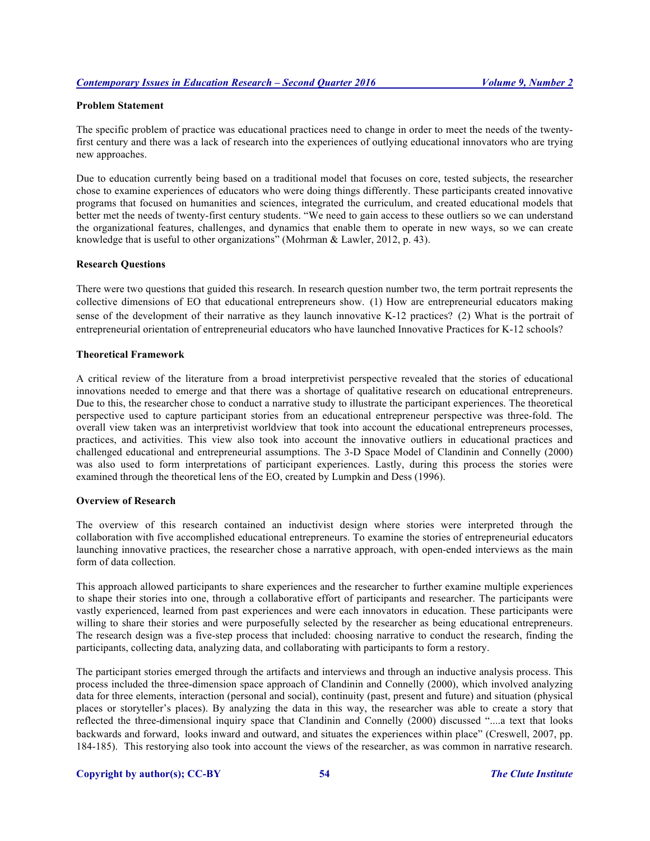# **Problem Statement**

The specific problem of practice was educational practices need to change in order to meet the needs of the twentyfirst century and there was a lack of research into the experiences of outlying educational innovators who are trying new approaches.

Due to education currently being based on a traditional model that focuses on core, tested subjects, the researcher chose to examine experiences of educators who were doing things differently. These participants created innovative programs that focused on humanities and sciences, integrated the curriculum, and created educational models that better met the needs of twenty-first century students. "We need to gain access to these outliers so we can understand the organizational features, challenges, and dynamics that enable them to operate in new ways, so we can create knowledge that is useful to other organizations" (Mohrman & Lawler, 2012, p. 43).

# **Research Questions**

There were two questions that guided this research. In research question number two, the term portrait represents the collective dimensions of EO that educational entrepreneurs show. (1) How are entrepreneurial educators making sense of the development of their narrative as they launch innovative K-12 practices? (2) What is the portrait of entrepreneurial orientation of entrepreneurial educators who have launched Innovative Practices for K-12 schools?

## **Theoretical Framework**

A critical review of the literature from a broad interpretivist perspective revealed that the stories of educational innovations needed to emerge and that there was a shortage of qualitative research on educational entrepreneurs. Due to this, the researcher chose to conduct a narrative study to illustrate the participant experiences. The theoretical perspective used to capture participant stories from an educational entrepreneur perspective was three-fold. The overall view taken was an interpretivist worldview that took into account the educational entrepreneurs processes, practices, and activities. This view also took into account the innovative outliers in educational practices and challenged educational and entrepreneurial assumptions. The 3-D Space Model of Clandinin and Connelly (2000) was also used to form interpretations of participant experiences. Lastly, during this process the stories were examined through the theoretical lens of the EO, created by Lumpkin and Dess (1996).

## **Overview of Research**

The overview of this research contained an inductivist design where stories were interpreted through the collaboration with five accomplished educational entrepreneurs. To examine the stories of entrepreneurial educators launching innovative practices, the researcher chose a narrative approach, with open-ended interviews as the main form of data collection.

This approach allowed participants to share experiences and the researcher to further examine multiple experiences to shape their stories into one, through a collaborative effort of participants and researcher. The participants were vastly experienced, learned from past experiences and were each innovators in education. These participants were willing to share their stories and were purposefully selected by the researcher as being educational entrepreneurs. The research design was a five-step process that included: choosing narrative to conduct the research, finding the participants, collecting data, analyzing data, and collaborating with participants to form a restory.

The participant stories emerged through the artifacts and interviews and through an inductive analysis process. This process included the three-dimension space approach of Clandinin and Connelly (2000), which involved analyzing data for three elements, interaction (personal and social), continuity (past, present and future) and situation (physical places or storyteller's places). By analyzing the data in this way, the researcher was able to create a story that reflected the three-dimensional inquiry space that Clandinin and Connelly (2000) discussed "....a text that looks backwards and forward, looks inward and outward, and situates the experiences within place" (Creswell, 2007, pp. 184-185). This restorying also took into account the views of the researcher, as was common in narrative research.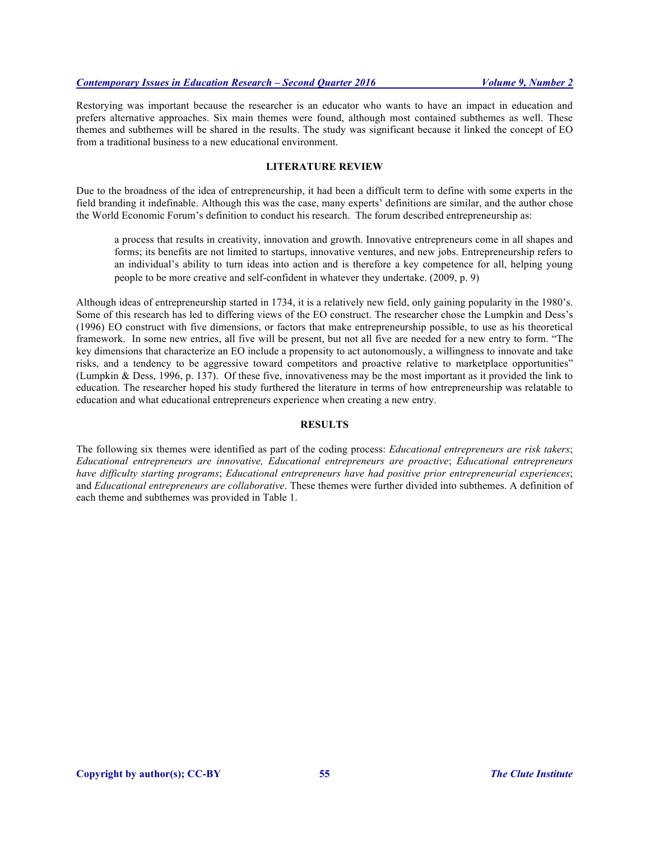Restorying was important because the researcher is an educator who wants to have an impact in education and prefers alternative approaches. Six main themes were found, although most contained subthemes as well. These themes and subthemes will be shared in the results. The study was significant because it linked the concept of EO from a traditional business to a new educational environment.

# **LITERATURE REVIEW**

Due to the broadness of the idea of entrepreneurship, it had been a difficult term to define with some experts in the field branding it indefinable. Although this was the case, many experts' definitions are similar, and the author chose the World Economic Forum's definition to conduct his research. The forum described entrepreneurship as:

a process that results in creativity, innovation and growth. Innovative entrepreneurs come in all shapes and forms; its benefits are not limited to startups, innovative ventures, and new jobs. Entrepreneurship refers to an individual's ability to turn ideas into action and is therefore a key competence for all, helping young people to be more creative and self-confident in whatever they undertake. (2009, p. 9)

Although ideas of entrepreneurship started in 1734, it is a relatively new field, only gaining popularity in the 1980's. Some of this research has led to differing views of the EO construct. The researcher chose the Lumpkin and Dess's (1996) EO construct with five dimensions, or factors that make entrepreneurship possible, to use as his theoretical framework. In some new entries, all five will be present, but not all five are needed for a new entry to form. "The key dimensions that characterize an EO include a propensity to act autonomously, a willingness to innovate and take risks, and a tendency to be aggressive toward competitors and proactive relative to marketplace opportunities" (Lumpkin & Dess, 1996, p. 137). Of these five, innovativeness may be the most important as it provided the link to education. The researcher hoped his study furthered the literature in terms of how entrepreneurship was relatable to education and what educational entrepreneurs experience when creating a new entry.

# **RESULTS**

The following six themes were identified as part of the coding process: *Educational entrepreneurs are risk takers*; *Educational entrepreneurs are innovative, Educational entrepreneurs are proactive*; *Educational entrepreneurs have difficulty starting programs*; *Educational entrepreneurs have had positive prior entrepreneurial experiences*; and *Educational entrepreneurs are collaborative*. These themes were further divided into subthemes. A definition of each theme and subthemes was provided in Table 1.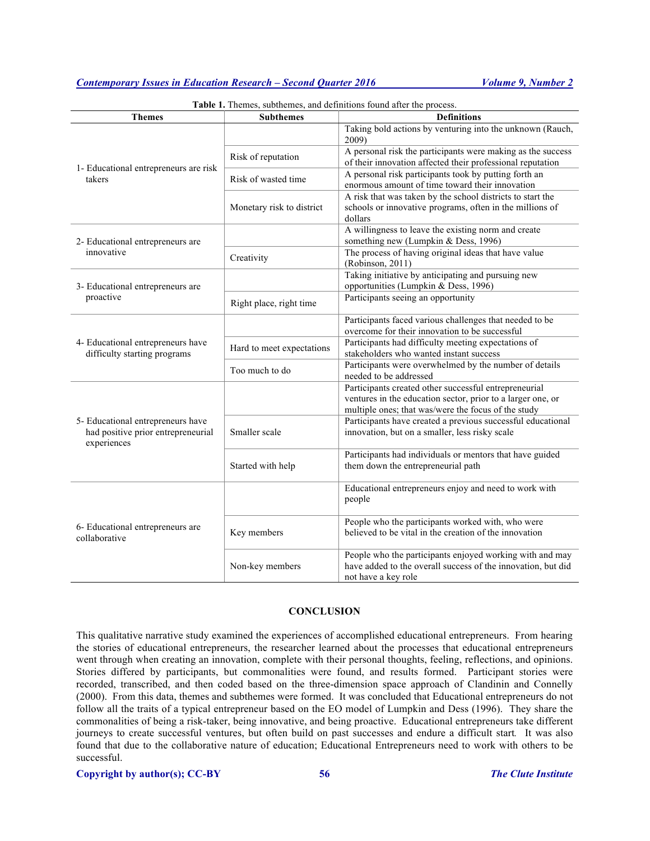# *Contemporary Issues in Education Research – Second Quarter 2016 Volume 9, Number 2*

| <b>Themes</b>                                                                          | <b>Subthemes</b>          | <b>Table 1.</b> Themes, subthemes, and definitions found after the process.<br><b>Definitions</b>                                                                           |
|----------------------------------------------------------------------------------------|---------------------------|-----------------------------------------------------------------------------------------------------------------------------------------------------------------------------|
| 1- Educational entrepreneurs are risk<br>takers                                        |                           | Taking bold actions by venturing into the unknown (Rauch,<br>2009)                                                                                                          |
|                                                                                        | Risk of reputation        | A personal risk the participants were making as the success<br>of their innovation affected their professional reputation                                                   |
|                                                                                        | Risk of wasted time       | A personal risk participants took by putting forth an<br>enormous amount of time toward their innovation                                                                    |
|                                                                                        | Monetary risk to district | A risk that was taken by the school districts to start the<br>schools or innovative programs, often in the millions of<br>dollars                                           |
| 2- Educational entrepreneurs are<br>innovative                                         |                           | A willingness to leave the existing norm and create<br>something new (Lumpkin & Dess, 1996)                                                                                 |
|                                                                                        | Creativity                | The process of having original ideas that have value<br>(Robinson, 2011)                                                                                                    |
| 3- Educational entrepreneurs are<br>proactive                                          |                           | Taking initiative by anticipating and pursuing new<br>opportunities (Lumpkin & Dess, 1996)                                                                                  |
|                                                                                        | Right place, right time   | Participants seeing an opportunity                                                                                                                                          |
| 4- Educational entrepreneurs have<br>difficulty starting programs                      |                           | Participants faced various challenges that needed to be<br>overcome for their innovation to be successful                                                                   |
|                                                                                        | Hard to meet expectations | Participants had difficulty meeting expectations of<br>stakeholders who wanted instant success                                                                              |
|                                                                                        | Too much to do            | Participants were overwhelmed by the number of details<br>needed to be addressed                                                                                            |
| 5- Educational entrepreneurs have<br>had positive prior entrepreneurial<br>experiences |                           | Participants created other successful entrepreneurial<br>ventures in the education sector, prior to a larger one, or<br>multiple ones; that was/were the focus of the study |
|                                                                                        | Smaller scale             | Participants have created a previous successful educational<br>innovation, but on a smaller, less risky scale                                                               |
|                                                                                        | Started with help         | Participants had individuals or mentors that have guided<br>them down the entrepreneurial path                                                                              |
| 6- Educational entrepreneurs are<br>collaborative                                      |                           | Educational entrepreneurs enjoy and need to work with<br>people                                                                                                             |
|                                                                                        | Key members               | People who the participants worked with, who were<br>believed to be vital in the creation of the innovation                                                                 |
|                                                                                        | Non-key members           | People who the participants enjoyed working with and may<br>have added to the overall success of the innovation, but did<br>not have a key role                             |

#### Table 1. Themes, subthemes, and definitions found after the process.

## **CONCLUSION**

This qualitative narrative study examined the experiences of accomplished educational entrepreneurs. From hearing the stories of educational entrepreneurs, the researcher learned about the processes that educational entrepreneurs went through when creating an innovation, complete with their personal thoughts, feeling, reflections, and opinions. Stories differed by participants, but commonalities were found, and results formed. Participant stories were recorded, transcribed, and then coded based on the three-dimension space approach of Clandinin and Connelly (2000). From this data, themes and subthemes were formed. It was concluded that Educational entrepreneurs do not follow all the traits of a typical entrepreneur based on the EO model of Lumpkin and Dess (1996). They share the commonalities of being a risk-taker, being innovative, and being proactive. Educational entrepreneurs take different journeys to create successful ventures, but often build on past successes and endure a difficult start*.* It was also found that due to the collaborative nature of education; Educational Entrepreneurs need to work with others to be successful.

# **Copyright by author(s); CC-BY 56** *The Clute Institute*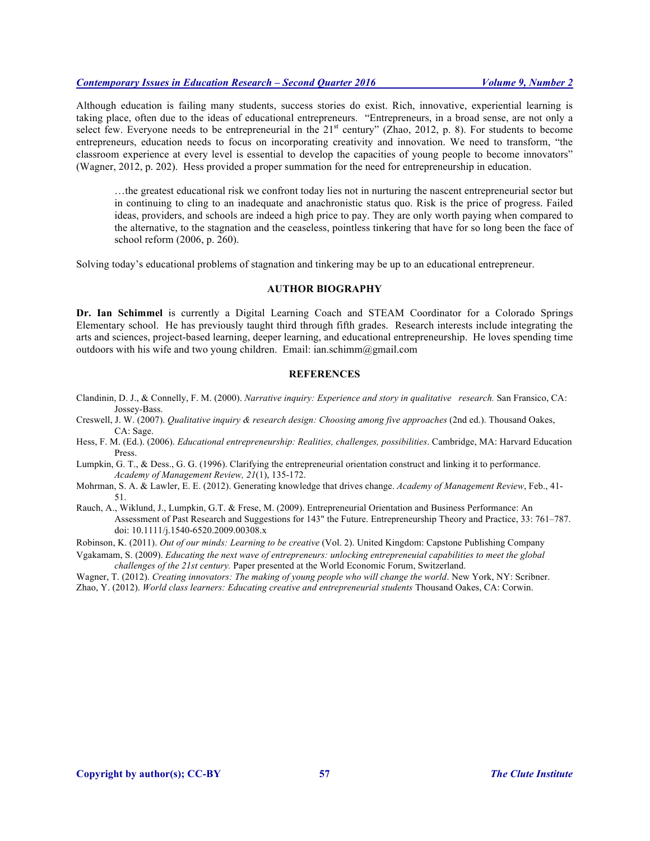# *Contemporary Issues in Education Research – Second Quarter 2016 Volume 9, Number 2*

Although education is failing many students, success stories do exist. Rich, innovative, experiential learning is taking place, often due to the ideas of educational entrepreneurs. "Entrepreneurs, in a broad sense, are not only a select few. Everyone needs to be entrepreneurial in the 21<sup>st</sup> century" (Zhao, 2012, p. 8). For students to become entrepreneurs, education needs to focus on incorporating creativity and innovation. We need to transform, "the classroom experience at every level is essential to develop the capacities of young people to become innovators" (Wagner, 2012, p. 202). Hess provided a proper summation for the need for entrepreneurship in education.

…the greatest educational risk we confront today lies not in nurturing the nascent entrepreneurial sector but in continuing to cling to an inadequate and anachronistic status quo. Risk is the price of progress. Failed ideas, providers, and schools are indeed a high price to pay. They are only worth paying when compared to the alternative, to the stagnation and the ceaseless, pointless tinkering that have for so long been the face of school reform (2006, p. 260).

Solving today's educational problems of stagnation and tinkering may be up to an educational entrepreneur.

## **AUTHOR BIOGRAPHY**

**Dr. Ian Schimmel** is currently a Digital Learning Coach and STEAM Coordinator for a Colorado Springs Elementary school. He has previously taught third through fifth grades. Research interests include integrating the arts and sciences, project-based learning, deeper learning, and educational entrepreneurship. He loves spending time outdoors with his wife and two young children. Email: ian.schimm@gmail.com

# **REFERENCES**

- Clandinin, D. J., & Connelly, F. M. (2000). *Narrative inquiry: Experience and story in qualitative research.* San Fransico, CA: Jossey-Bass.
- Creswell, J. W. (2007). *Qualitative inquiry & research design: Choosing among five approaches* (2nd ed.). Thousand Oakes, CA: Sage.
- Hess, F. M. (Ed.). (2006). *Educational entrepreneurship: Realities, challenges, possibilities*. Cambridge, MA: Harvard Education Press.
- Lumpkin, G. T., & Dess., G. G. (1996). Clarifying the entrepreneurial orientation construct and linking it to performance. *Academy of Management Review, 21*(1), 135-172.

Mohrman, S. A. & Lawler, E. E. (2012). Generating knowledge that drives change. *Academy of Management Review*, Feb., 41- 51.

Rauch, A., Wiklund, J., Lumpkin, G.T. & Frese, M. (2009). Entrepreneurial Orientation and Business Performance: An Assessment of Past Research and Suggestions for 143" the Future. Entrepreneurship Theory and Practice, 33: 761–787. doi: 10.1111/j.1540-6520.2009.00308.x

Robinson, K. (2011). *Out of our minds: Learning to be creative* (Vol. 2). United Kingdom: Capstone Publishing Company

Vgakamam, S. (2009). *Educating the next wave of entrepreneurs: unlocking entrepreneuial capabilities to meet the global challenges of the 21st century.* Paper presented at the World Economic Forum, Switzerland.

Wagner, T. (2012). *Creating innovators: The making of young people who will change the world*. New York, NY: Scribner. Zhao, Y. (2012). *World class learners: Educating creative and entrepreneurial students* Thousand Oakes, CA: Corwin.